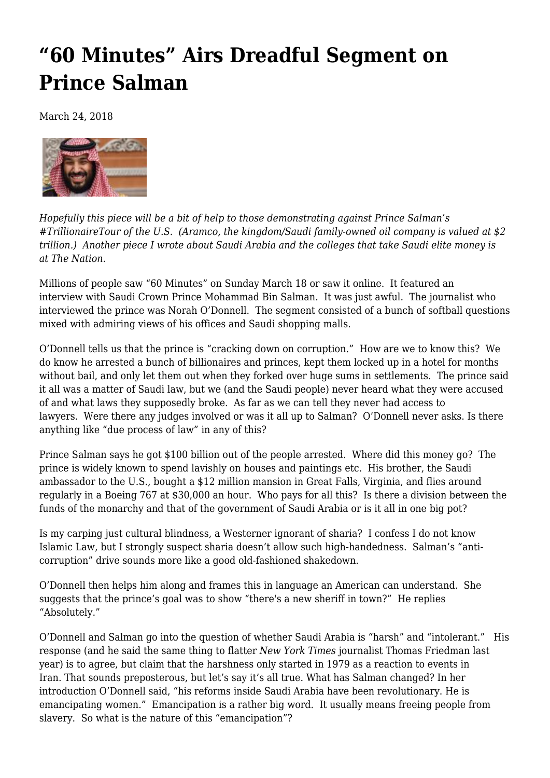## **["60 Minutes" Airs Dreadful Segment on](https://newpol.org/60-minutes-airs-dreadful-segment-prince-salman/) [Prince Salman](https://newpol.org/60-minutes-airs-dreadful-segment-prince-salman/)**

March 24, 2018



*Hopefully this piece will be a bit of help to those [demonstrating](https://www.facebook.com/events/805156499667876/) against Prince Salman's #TrillionaireTour of the U.S. [\(Aramco,](http://www.saudius.org/like-the-climate--protest-the--trillionaire-tour.html) the kingdom/Saudi family-owned oil company is valued at \$2 trillion.) Another piece I wrote about Saudi Arabia and the colleges that take Saudi elite money is at [The Nation.](https://www.thenation.com/article/why-are-us-colleges-collaborating-with-saudi-arabia/)*

Millions of people saw "60 Minutes" on Sunday March 18 or saw it online. It featured [an](https://www.cbsnews.com/news/saudi-crown-prince-talks-to-60-minutes/) [interview](https://www.cbsnews.com/news/saudi-crown-prince-talks-to-60-minutes/) with Saudi Crown Prince Mohammad Bin Salman. It was just awful. The journalist who interviewed the prince was Norah O'Donnell. The segment consisted of a bunch of softball questions mixed with admiring views of his offices and Saudi shopping malls.

O'Donnell tells us that the prince is "cracking down on corruption." How are we to know this? We do know he arrested a bunch of billionaires and princes, kept them locked up in a hotel for months without bail, and only let them out when they forked over huge sums in settlements. The prince said it all was a matter of Saudi law, but we (and the Saudi people) never heard what they were accused of and what laws they supposedly broke. As far as we can tell they never had access to lawyers. Were there any judges involved or was it all up to Salman? O'Donnell never asks. Is there anything like "due process of law" in any of this?

Prince Salman says he got \$100 billion out of the people arrested. Where did this money go? The prince is widely known to spend lavishly on houses and paintings etc. His brother, the Saudi ambassador to the U.S., bought a [\\$12 million mansion](https://www.gulfinstitute.org/mbs-linked-corruption-hits-washington/) in Great Falls, Virginia, and flies around regularly in a Boeing 767 at \$30,000 an hour. Who pays for all this? Is there a division between the funds of the monarchy and that of the government of Saudi Arabia or is it all in one big pot?

Is my carping just cultural blindness, a Westerner ignorant of sharia? I confess I do not know Islamic Law, but I strongly suspect sharia doesn't allow such high-handedness. Salman's "anticorruption" drive sounds more like a good old-fashioned shakedown.

O'Donnell then helps him along and frames this in language an American can understand. She suggests that the prince's goal was to show "there's a new sheriff in town?" He replies "Absolutely."

O'Donnell and Salman go into the question of whether Saudi Arabia is "harsh" and "intolerant." His response (and he said the same thing to flatter *New York Times* journalist Thomas Friedman last year) is to agree, but claim that the harshness only started in 1979 as a reaction to events in Iran. That sounds preposterous, but let's say it's all true. What has Salman changed? In her introduction O'Donnell said, "his reforms inside Saudi Arabia have been revolutionary. He is emancipating women." Emancipation is a rather big word. It usually means freeing people from slavery. So what is the nature of this "emancipation"?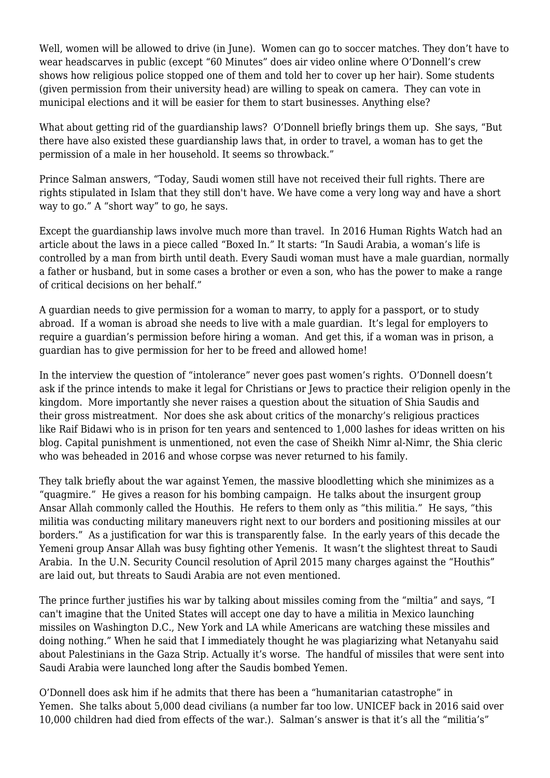Well, women will be allowed to drive (in June). Women can go to soccer matches. They don't have to wear headscarves in public (except "60 Minutes" does air video online where O'Donnell's crew shows how religious police stopped one of them and told her to cover up her hair). Some students (given permission from their university head) are willing to speak on camera. They can vote in municipal elections and it will be easier for them to start businesses. Anything else?

What about getting rid of the guardianship laws? O'Donnell briefly brings them up. She says, "But there have also existed these guardianship laws that, in order to travel, a woman has to get the permission of a male in her household. It seems so throwback."

Prince Salman answers, "Today, Saudi women still have not received their full rights. There are rights stipulated in Islam that they still don't have. We have come a very long way and have a short way to go." A "short way" to go, he says.

Except the guardianship laws involve much more than travel. In 2016 Human Rights Watch had an article about the laws in a piece called "[Boxed In](https://www.hrw.org/report/2016/07/16/boxed/women-and-saudi-arabias-male-guardianship-system)." It starts: "In Saudi Arabia, a woman's life is controlled by a man from birth until death. Every Saudi woman must have a male guardian, normally a father or husband, but in some cases a brother or even a son, who has the power to make a range of critical decisions on her behalf."

A guardian needs to give permission for a woman to marry, to apply for a passport, or to study abroad. If a woman is abroad she [needs to live](https://www.pbs.org/newshour/arts/saudi-artist-guardianship-laws) with a male guardian. It's legal for employers to require a guardian's permission before hiring a woman. And get this, if a woman was in prison, a guardian [has to give permission](https://youtu.be/-goe4zON-XE) for her to be freed and allowed home!

In the interview the question of "intolerance" never goes past women's rights. O'Donnell doesn't ask if the prince intends to make it legal for Christians or Jews to practice their religion openly in the kingdom. More importantly she never raises a question about the situation of Shia Saudis and their [gross mistreatment.](http://foreignpolicy.com/2014/12/03/saudi-arabia-has-a-shiite-problem-royal-family-saud/) Nor does she ask about critics of the monarchy's religious practices like [Raif Bidawi](https://www.theguardian.com/world/2015/jan/14/-sp-saudi-blogger-extracts-raif-badawi) who is in prison for ten years and sentenced to 1,000 lashes for ideas written on his blog. Capital punishment is unmentioned, not even the case of [Sheikh Nimr al-Nimr,](https://www.theatlantic.com/international/archive/2016/01/nimr-al-nimr-saudi-arabia-shiites/422670/) the Shia cleric who was beheaded in 2016 and whose corpse was never returned to his family.

They talk briefly about the war against Yemen, the massive bloodletting which she minimizes as a "quagmire." He gives a reason for his bombing campaign. He talks about the insurgent group Ansar Allah commonly called the Houthis. He refers to them only as "this militia." He says, "this militia was conducting military maneuvers right next to our borders and positioning missiles at our borders." As a justification for war this is transparently false. In the early years of this decade the Yemeni group Ansar Allah was busy fighting other Yemenis. It wasn't the slightest threat to Saudi Arabia. In the [U.N. Security Council resolution](http://www.thestruggle.org/U.N.%20Security%20Council%20on%20Yemen%20April%202015.htm) of April 2015 many charges against the "Houthis" are laid out, but threats to Saudi Arabia are not even mentioned.

The prince further justifies his war by talking about missiles coming from the "miltia" and says, "I can't imagine that the United States will accept one day to have a militia in Mexico launching missiles on Washington D.C., New York and LA while Americans are watching these missiles and doing nothing." When he said that I immediately thought he was plagiarizing what Netanyahu said about Palestinians in the Gaza Strip. Actually it's worse. The handful of missiles that were sent into Saudi Arabia were launched long after the Saudis bombed Yemen.

O'Donnell does ask him if he admits that there has been a "humanitarian catastrophe" in Yemen. She talks about 5,000 dead civilians (a number far too low. [UNICEF back in 2016](https://www.nytimes.com/2016/03/30/world/middleeast/yemen-conflict-unicef.html) said over 10,000 children had died from effects of the war.). Salman's answer is that it's all the "militia's"